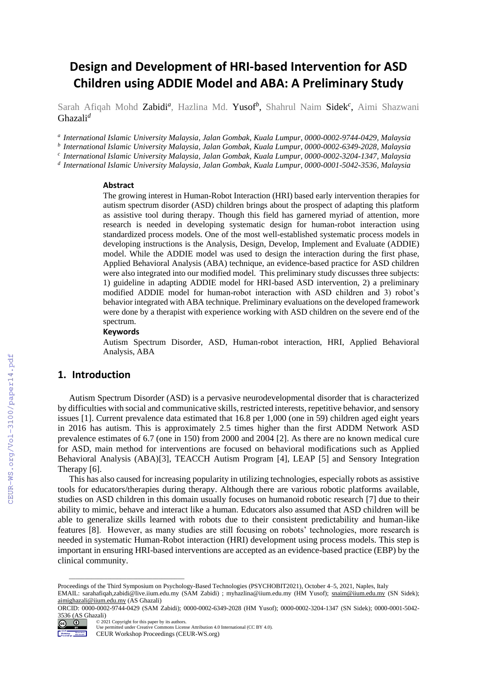# **Design and Development of HRI-based Intervention for ASD Children using ADDIE Model and ABA: A Preliminary Study**

Sarah Afiqah Mohd Zabidi<sup>a</sup>, Hazlina Md. Yusof<sup>b</sup>, Shahrul Naim Sidek<sup>c</sup>, Aimi Shazwani Ghazali*<sup>d</sup>*

*a International Islamic University Malaysia, Jalan Gombak, Kuala Lumpur, 0000-0002-9744-0429, Malaysia*

*b International Islamic University Malaysia, Jalan Gombak, Kuala Lumpur, 0000-0002-6349-2028, Malaysia*

*c International Islamic University Malaysia, Jalan Gombak, Kuala Lumpur, 0000-0002-3204-1347, Malaysia*

*d International Islamic University Malaysia, Jalan Gombak, Kuala Lumpur, 0000-0001-5042-3536, Malaysia*

#### **Abstract**

The growing interest in Human-Robot Interaction (HRI) based early intervention therapies for autism spectrum disorder (ASD) children brings about the prospect of adapting this platform as assistive tool during therapy. Though this field has garnered myriad of attention, more research is needed in developing systematic design for human-robot interaction using standardized process models. One of the most well-established systematic process models in developing instructions is the Analysis, Design, Develop, Implement and Evaluate (ADDIE) model. While the ADDIE model was used to design the interaction during the first phase, Applied Behavioral Analysis (ABA) technique, an evidence-based practice for ASD children were also integrated into our modified model. This preliminary study discusses three subjects: 1) guideline in adapting ADDIE model for HRI-based ASD intervention, 2) a preliminary modified ADDIE model for human-robot interaction with ASD children and 3) robot's behavior integrated with ABA technique. Preliminary evaluations on the developed framework were done by a therapist with experience working with ASD children on the severe end of the spectrum.

#### **Keywords**

 $\frac{1}{\sqrt{2}}$  ,  $\frac{1}{\sqrt{2}}$  ,  $\frac{1}{\sqrt{2}}$  ,  $\frac{1}{\sqrt{2}}$  ,  $\frac{1}{\sqrt{2}}$  ,  $\frac{1}{\sqrt{2}}$  ,  $\frac{1}{\sqrt{2}}$  ,  $\frac{1}{\sqrt{2}}$  ,  $\frac{1}{\sqrt{2}}$  ,  $\frac{1}{\sqrt{2}}$  ,  $\frac{1}{\sqrt{2}}$  ,  $\frac{1}{\sqrt{2}}$  ,  $\frac{1}{\sqrt{2}}$  ,  $\frac{1}{\sqrt{2}}$  ,  $\frac{1}{\sqrt{2}}$ 

Autism Spectrum Disorder, ASD, Human-robot interaction, HRI, Applied Behavioral Analysis, ABA

### **1. Introduction**

Autism Spectrum Disorder (ASD) is a pervasive neurodevelopmental disorder that is characterized by difficulties with social and communicative skills, restricted interests, repetitive behavior, and sensory issues [1]. Current prevalence data estimated that 16.8 per 1,000 (one in 59) children aged eight years in 2016 has autism. This is approximately 2.5 times higher than the first ADDM Network ASD prevalence estimates of 6.7 (one in 150) from 2000 and 2004 [2]. As there are no known medical cure for ASD, main method for interventions are focused on behavioral modifications such as Applied Behavioral Analysis (ABA)[3], TEACCH Autism Program [4], LEAP [5] and Sensory Integration Therapy [6].

This has also caused for increasing popularity in utilizing technologies, especially robots as assistive tools for educators/therapies during therapy. Although there are various robotic platforms available, studies on ASD children in this domain usually focuses on humanoid robotic research [7] due to their ability to mimic, behave and interact like a human. Educators also assumed that ASD children will be able to generalize skills learned with robots due to their consistent predictability and human-like features [8]. However, as many studies are still focusing on robots' technologies, more research is needed in systematic Human-Robot interaction (HRI) development using process models. This step is important in ensuring HRI-based interventions are accepted as an evidence-based practice (EBP) by the clinical community.

ORCID: 0000-0002-9744-0429 (SAM Zabidi); 0000-0002-6349-2028 (HM Yusof); 0000-0002-3204-1347 (SN Sidek); 0000-0001-5042- 3536 (AS Ghazali)<br>  $\bigodot$   $\bigodot$   $\bigodot$   $\bigodot$   $\bigodot$  200 ©️ 2021 Copyright for this paper by its authors.



Use permitted under Creative Commons License Attribution 4.0 International (CC BY 4.0). CEUR Workshop Proceedings (CEUR-WS.org)

Proceedings of the Third Symposium on Psychology-Based Technologies (PSYCHOBIT2021), October 4–5, 2021, Naples, Italy

EMAIL: sarahafiqah,zabidi@live.iium.edu.my (SAM Zabidi) ; myhazlina@iium.edu.my (HM Yusof); [snaim@iium.edu.my](mailto:snaim@iium.edu.my) (SN Sidek); [aimighazali@iium.edu.my](mailto:aimighazali@iium.edu.my) (AS Ghazali)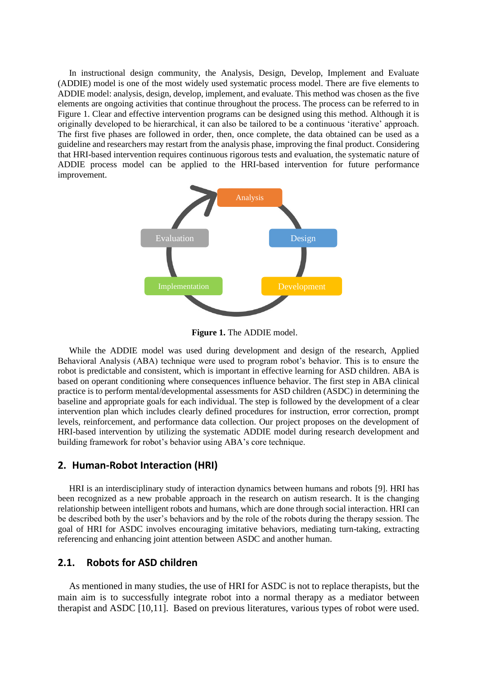In instructional design community, the Analysis, Design, Develop, Implement and Evaluate (ADDIE) model is one of the most widely used systematic process model. There are five elements to ADDIE model: analysis, design, develop, implement, and evaluate. This method was chosen as the five elements are ongoing activities that continue throughout the process. The process can be referred to in Figure 1. Clear and effective intervention programs can be designed using this method. Although it is originally developed to be hierarchical, it can also be tailored to be a continuous 'iterative' approach. The first five phases are followed in order, then, once complete, the data obtained can be used as a guideline and researchers may restart from the analysis phase, improving the final product. Considering that HRI-based intervention requires continuous rigorous tests and evaluation, the systematic nature of ADDIE process model can be applied to the HRI-based intervention for future performance improvement.



**Figure 1.** The ADDIE model.

While the ADDIE model was used during development and design of the research, Applied Behavioral Analysis (ABA) technique were used to program robot's behavior. This is to ensure the robot is predictable and consistent, which is important in effective learning for ASD children. ABA is based on operant conditioning where consequences influence behavior. The first step in ABA clinical practice is to perform mental/developmental assessments for ASD children (ASDC) in determining the baseline and appropriate goals for each individual. The step is followed by the development of a clear intervention plan which includes clearly defined procedures for instruction, error correction, prompt levels, reinforcement, and performance data collection. Our project proposes on the development of HRI-based intervention by utilizing the systematic ADDIE model during research development and building framework for robot's behavior using ABA's core technique.

### **2. Human-Robot Interaction (HRI)**

HRI is an interdisciplinary study of interaction dynamics between humans and robots [9]. HRI has been recognized as a new probable approach in the research on autism research. It is the changing relationship between intelligent robots and humans, which are done through social interaction. HRI can be described both by the user's behaviors and by the role of the robots during the therapy session. The goal of HRI for ASDC involves encouraging imitative behaviors, mediating turn-taking, extracting referencing and enhancing joint attention between ASDC and another human.

# **2.1. Robots for ASD children**

As mentioned in many studies, the use of HRI for ASDC is not to replace therapists, but the main aim is to successfully integrate robot into a normal therapy as a mediator between therapist and ASDC [10,11]. Based on previous literatures, various types of robot were used.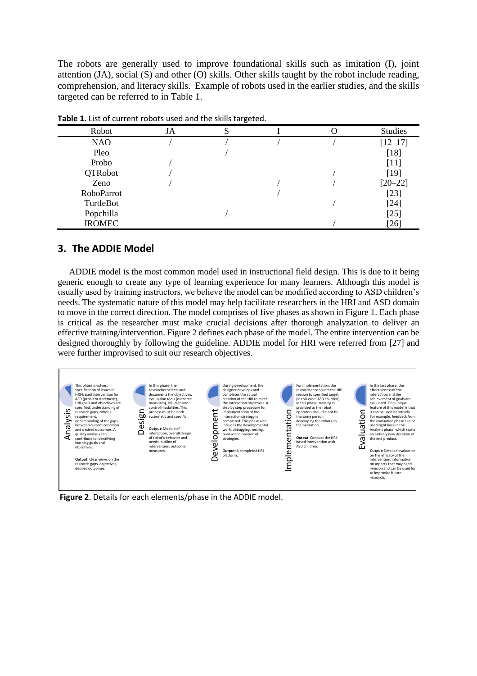The robots are generally used to improve foundational skills such as imitation (I), joint attention (JA), social (S) and other (O) skills. Other skills taught by the robot include reading, comprehension, and literacy skills. Example of robots used in the earlier studies, and the skills targeted can be referred to in Table 1.

|               |    | - - - - - |                |
|---------------|----|-----------|----------------|
| Robot         | JA |           | <b>Studies</b> |
| <b>NAO</b>    |    |           | $[12 - 17]$    |
| Pleo          |    |           | $[18]$         |
| Probo         |    |           | $[11]$         |
| QTRobot       |    |           | $[19]$         |
| Zeno          |    |           | $[20 - 22]$    |
| RoboParrot    |    |           | $[23]$         |
| TurtleBot     |    |           | $[24]$         |
| Popchilla     |    |           | $[25]$         |
| <b>IROMEC</b> |    |           | $[26]$         |

**Table 1.** List of current robots used and the skills targeted.

## **3. The ADDIE Model**

ADDIE model is the most common model used in instructional field design. This is due to it being generic enough to create any type of learning experience for many learners. Although this model is usually used by training instructors, we believe the model can be modified according to ASD children's needs. The systematic nature of this model may help facilitate researchers in the HRI and ASD domain to move in the correct direction. The model comprises of five phases as shown in Figure 1. Each phase is critical as the researcher must make crucial decisions after thorough analyzation to deliver an effective training/intervention. Figure 2 defines each phase of the model. The entire intervention can be designed thoroughly by following the guideline. ADDIE model for HRI were referred from [27] and were further improvised to suit our research objectives.

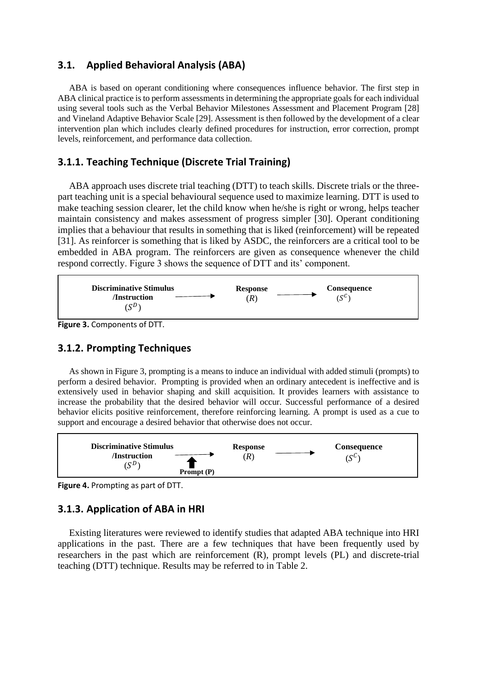# **3.1. Applied Behavioral Analysis (ABA)**

ABA is based on operant conditioning where consequences influence behavior. The first step in ABA clinical practice is to perform assessments in determining the appropriate goals for each individual using several tools such as the Verbal Behavior Milestones Assessment and Placement Program [28] and Vineland Adaptive Behavior Scale [29]. Assessment is then followed by the development of a clear intervention plan which includes clearly defined procedures for instruction, error correction, prompt levels, reinforcement, and performance data collection.

# **3.1.1. Teaching Technique (Discrete Trial Training)**

ABA approach uses discrete trial teaching (DTT) to teach skills. Discrete trials or the threepart teaching unit is a special behavioural sequence used to maximize learning. DTT is used to make teaching session clearer, let the child know when he/she is right or wrong, helps teacher maintain consistency and makes assessment of progress simpler [30]. Operant conditioning implies that a behaviour that results in something that is liked (reinforcement) will be repeated [31]. As reinforcer is something that is liked by ASDC, the reinforcers are a critical tool to be embedded in ABA program. The reinforcers are given as consequence whenever the child respond correctly. Figure 3 shows the sequence of DTT and its' component.



**Figure 3.** Components of DTT.

## **3.1.2. Prompting Techniques**

As shown in Figure 3, prompting is a means to induce an individual with added stimuli (prompts) to perform a desired behavior. Prompting is provided when an ordinary antecedent is ineffective and is extensively used in behavior shaping and skill acquisition. It provides learners with assistance to increase the probability that the desired behavior will occur. Successful performance of a desired behavior elicits positive reinforcement, therefore reinforcing learning. A prompt is used as a cue to support and encourage a desired behavior that otherwise does not occur.



**Figure 4.** Prompting as part of DTT.

## **3.1.3. Application of ABA in HRI**

Existing literatures were reviewed to identify studies that adapted ABA technique into HRI applications in the past. There are a few techniques that have been frequently used by researchers in the past which are reinforcement (R), prompt levels (PL) and discrete-trial teaching (DTT) technique. Results may be referred to in Table 2.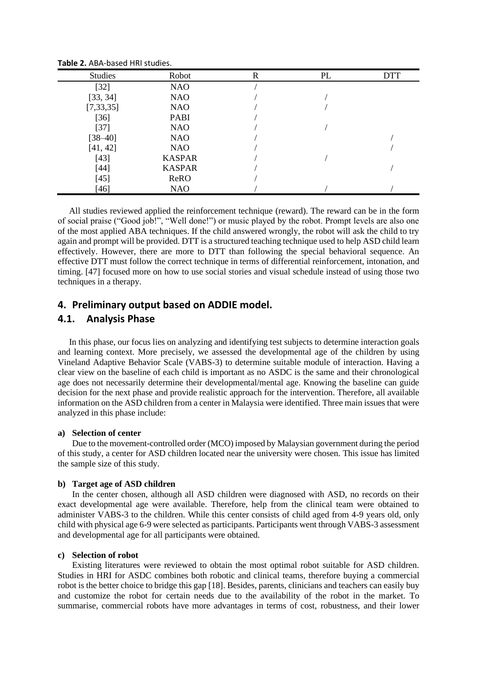| <b>Studies</b> | Robot         | R | PL | <b>DTT</b> |
|----------------|---------------|---|----|------------|
| $[32]$         | <b>NAO</b>    |   |    |            |
| [33, 34]       | <b>NAO</b>    |   |    |            |
| [7, 33, 35]    | <b>NAO</b>    |   |    |            |
| $[36]$         | <b>PABI</b>   |   |    |            |
| $[37]$         | <b>NAO</b>    |   |    |            |
| $[38 - 40]$    | <b>NAO</b>    |   |    |            |
| [41, 42]       | <b>NAO</b>    |   |    |            |
| $[43]$         | <b>KASPAR</b> |   |    |            |
| $[44]$         | <b>KASPAR</b> |   |    |            |
| $[45]$         | ReRO          |   |    |            |
| [46]           | <b>NAO</b>    |   |    |            |

**Table 2.** ABA-based HRI studies.

All studies reviewed applied the reinforcement technique (reward). The reward can be in the form of social praise ("Good job!", "Well done!") or music played by the robot. Prompt levels are also one of the most applied ABA techniques. If the child answered wrongly, the robot will ask the child to try again and prompt will be provided. DTT is a structured teaching technique used to help ASD child learn effectively. However, there are more to DTT than following the special behavioral sequence. An effective DTT must follow the correct technique in terms of differential reinforcement, intonation, and timing. [47] focused more on how to use social stories and visual schedule instead of using those two techniques in a therapy.

### **4. Preliminary output based on ADDIE model.**

### **4.1. Analysis Phase**

In this phase, our focus lies on analyzing and identifying test subjects to determine interaction goals and learning context. More precisely, we assessed the developmental age of the children by using Vineland Adaptive Behavior Scale (VABS-3) to determine suitable module of interaction. Having a clear view on the baseline of each child is important as no ASDC is the same and their chronological age does not necessarily determine their developmental/mental age. Knowing the baseline can guide decision for the next phase and provide realistic approach for the intervention. Therefore, all available information on the ASD children from a center in Malaysia were identified. Three main issues that were analyzed in this phase include:

#### **a) Selection of center**

Due to the movement-controlled order (MCO) imposed by Malaysian government during the period of this study, a center for ASD children located near the university were chosen. This issue has limited the sample size of this study.

#### **b) Target age of ASD children**

In the center chosen, although all ASD children were diagnosed with ASD, no records on their exact developmental age were available. Therefore, help from the clinical team were obtained to administer VABS-3 to the children. While this center consists of child aged from 4-9 years old, only child with physical age 6-9 were selected as participants. Participants went through VABS-3 assessment and developmental age for all participants were obtained.

#### **c) Selection of robot**

Existing literatures were reviewed to obtain the most optimal robot suitable for ASD children. Studies in HRI for ASDC combines both robotic and clinical teams, therefore buying a commercial robot is the better choice to bridge this gap [18]. Besides, parents, clinicians and teachers can easily buy and customize the robot for certain needs due to the availability of the robot in the market. To summarise, commercial robots have more advantages in terms of cost, robustness, and their lower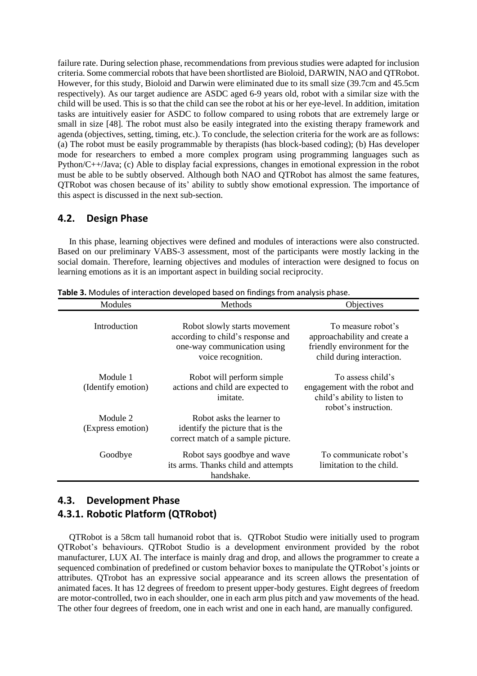failure rate. During selection phase, recommendations from previous studies were adapted for inclusion criteria. Some commercial robots that have been shortlisted are Bioloid, DARWIN, NAO and QTRobot. However, for this study, Bioloid and Darwin were eliminated due to its small size (39.7cm and 45.5cm respectively). As our target audience are ASDC aged 6-9 years old, robot with a similar size with the child will be used. This is so that the child can see the robot at his or her eye-level. In addition, imitation tasks are intuitively easier for ASDC to follow compared to using robots that are extremely large or small in size [48]. The robot must also be easily integrated into the existing therapy framework and agenda (objectives, setting, timing, etc.). To conclude, the selection criteria for the work are as follows: (a) The robot must be easily programmable by therapists (has block-based coding); (b) Has developer mode for researchers to embed a more complex program using programming languages such as Python/C++/Java; (c) Able to display facial expressions, changes in emotional expression in the robot must be able to be subtly observed. Although both NAO and QTRobot has almost the same features, QTRobot was chosen because of its' ability to subtly show emotional expression. The importance of this aspect is discussed in the next sub-section.

### **4.2. Design Phase**

In this phase, learning objectives were defined and modules of interactions were also constructed. Based on our preliminary VABS-3 assessment, most of the participants were mostly lacking in the social domain. Therefore, learning objectives and modules of interaction were designed to focus on learning emotions as it is an important aspect in building social reciprocity.

| Modules                        | Methods                                                                                                                | Objectives                                                                                                      |  |
|--------------------------------|------------------------------------------------------------------------------------------------------------------------|-----------------------------------------------------------------------------------------------------------------|--|
| Introduction                   | Robot slowly starts movement<br>according to child's response and<br>one-way communication using<br>voice recognition. | To measure robot's<br>approachability and create a<br>friendly environment for the<br>child during interaction. |  |
| Module 1<br>(Identify emotion) | Robot will perform simple<br>actions and child are expected to<br>imitate.                                             | To assess child's<br>engagement with the robot and<br>child's ability to listen to<br>robot's instruction.      |  |
| Module 2<br>(Express emotion)  | Robot asks the learner to<br>identify the picture that is the<br>correct match of a sample picture.                    |                                                                                                                 |  |
| Goodbye                        | Robot says goodbye and wave<br>its arms. Thanks child and attempts<br>handshake.                                       | To communicate robot's<br>limitation to the child.                                                              |  |

**Table 3.** Modules of interaction developed based on findings from analysis phase.

# **4.3. Development Phase 4.3.1. Robotic Platform (QTRobot)**

QTRobot is a 58cm tall humanoid robot that is. QTRobot Studio were initially used to program QTRobot's behaviours. QTRobot Studio is a development environment provided by the robot manufacturer, LUX AI. The interface is mainly drag and drop, and allows the programmer to create a sequenced combination of predefined or custom behavior boxes to manipulate the QTRobot's joints or attributes. QTrobot has an expressive social appearance and its screen allows the presentation of animated faces. It has 12 degrees of freedom to present upper-body gestures. Eight degrees of freedom are motor-controlled, two in each shoulder, one in each arm plus pitch and yaw movements of the head. The other four degrees of freedom, one in each wrist and one in each hand, are manually configured.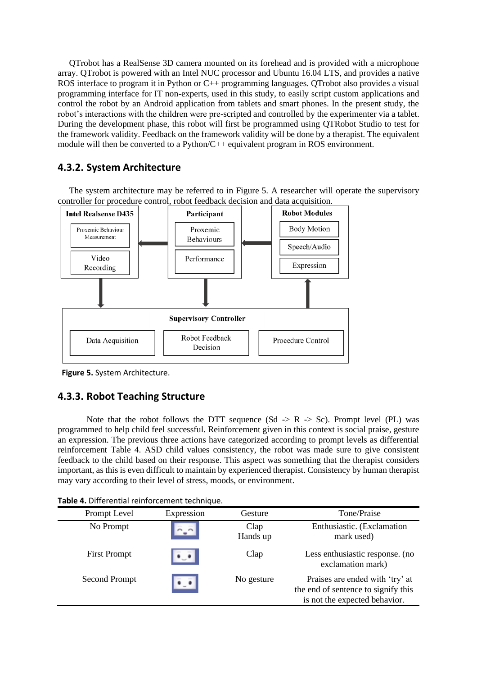QTrobot has a RealSense 3D camera mounted on its forehead and is provided with a microphone array. QTrobot is powered with an Intel NUC processor and Ubuntu 16.04 LTS, and provides a native ROS interface to program it in Python or C++ programming languages. QTrobot also provides a visual programming interface for IT non-experts, used in this study, to easily script custom applications and control the robot by an Android application from tablets and smart phones. In the present study, the robot's interactions with the children were pre-scripted and controlled by the experimenter via a tablet. During the development phase, this robot will first be programmed using QTRobot Studio to test for the framework validity. Feedback on the framework validity will be done by a therapist. The equivalent module will then be converted to a Python/C++ equivalent program in ROS environment.

# **4.3.2. System Architecture**

The system architecture may be referred to in Figure 5. A researcher will operate the supervisory controller for procedure control, robot feedback decision and data acquisition.



 **Figure 5.** System Architecture.

# **4.3.3. Robot Teaching Structure**

Note that the robot follows the DTT sequence (Sd  $\rightarrow$  R  $\rightarrow$  Sc). Prompt level (PL) was programmed to help child feel successful. Reinforcement given in this context is social praise, gesture an expression. The previous three actions have categorized according to prompt levels as differential reinforcement Table 4. ASD child values consistency, the robot was made sure to give consistent feedback to the child based on their response. This aspect was something that the therapist considers important, as this is even difficult to maintain by experienced therapist. Consistency by human therapist may vary according to their level of stress, moods, or environment.

| Prompt Level        | Expression | Gesture          | Tone/Praise                                                                                             |
|---------------------|------------|------------------|---------------------------------------------------------------------------------------------------------|
| No Prompt           | $n - 1$    | Clap<br>Hands up | Enthusiastic. (Exclamation<br>mark used)                                                                |
| <b>First Prompt</b> |            | Clap             | Less enthusiastic response. (no<br>exclamation mark)                                                    |
| Second Prompt       |            | No gesture       | Praises are ended with 'try' at<br>the end of sentence to signify this<br>is not the expected behavior. |

**Table 4.** Differential reinforcement technique.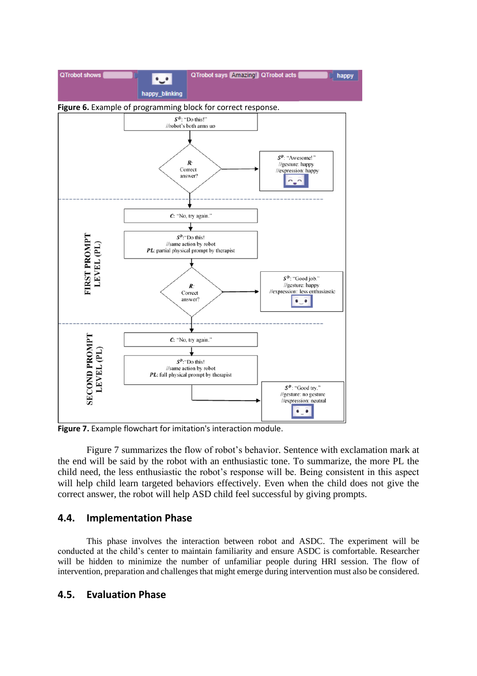

**Figure 7.** Example flowchart for imitation's interaction module.

Figure 7 summarizes the flow of robot's behavior. Sentence with exclamation mark at the end will be said by the robot with an enthusiastic tone. To summarize, the more PL the child need, the less enthusiastic the robot's response will be. Being consistent in this aspect will help child learn targeted behaviors effectively. Even when the child does not give the correct answer, the robot will help ASD child feel successful by giving prompts.

## **4.4. Implementation Phase**

This phase involves the interaction between robot and ASDC. The experiment will be conducted at the child's center to maintain familiarity and ensure ASDC is comfortable. Researcher will be hidden to minimize the number of unfamiliar people during HRI session. The flow of intervention, preparation and challenges that might emerge during intervention must also be considered.

# **4.5. Evaluation Phase**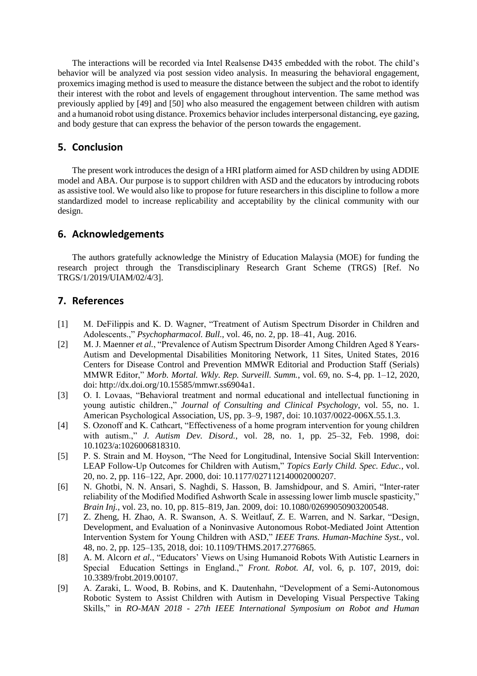The interactions will be recorded via Intel Realsense D435 embedded with the robot. The child's behavior will be analyzed via post session video analysis. In measuring the behavioral engagement, proxemics imaging method is used to measure the distance between the subject and the robot to identify their interest with the robot and levels of engagement throughout intervention. The same method was previously applied by [49] and [50] who also measured the engagement between children with autism and a humanoid robot using distance. Proxemics behavior includes interpersonal distancing, eye gazing, and body gesture that can express the behavior of the person towards the engagement.

### **5. Conclusion**

The present work introduces the design of a HRI platform aimed for ASD children by using ADDIE model and ABA. Our purpose is to support children with ASD and the educators by introducing robots as assistive tool. We would also like to propose for future researchers in this discipline to follow a more standardized model to increase replicability and acceptability by the clinical community with our design.

### **6. Acknowledgements**

The authors gratefully acknowledge the Ministry of Education Malaysia (MOE) for funding the research project through the Transdisciplinary Research Grant Scheme (TRGS) [Ref. No TRGS/1/2019/UIAM/02/4/3].

### **7. References**

- [1] M. DeFilippis and K. D. Wagner, "Treatment of Autism Spectrum Disorder in Children and Adolescents.," *Psychopharmacol. Bull.*, vol. 46, no. 2, pp. 18–41, Aug. 2016.
- [2] M. J. Maenner *et al.*, "Prevalence of Autism Spectrum Disorder Among Children Aged 8 Years-Autism and Developmental Disabilities Monitoring Network, 11 Sites, United States, 2016 Centers for Disease Control and Prevention MMWR Editorial and Production Staff (Serials) MMWR Editor," *Morb. Mortal. Wkly. Rep. Surveill. Summ.*, vol. 69, no. S-4, pp. 1–12, 2020, doi: http://dx.doi.org/10.15585/mmwr.ss6904a1.
- [3] O. I. Lovaas, "Behavioral treatment and normal educational and intellectual functioning in young autistic children.," *Journal of Consulting and Clinical Psychology*, vol. 55, no. 1. American Psychological Association, US, pp. 3–9, 1987, doi: 10.1037/0022-006X.55.1.3.
- [4] S. Ozonoff and K. Cathcart, "Effectiveness of a home program intervention for young children with autism.," *J. Autism Dev. Disord.*, vol. 28, no. 1, pp. 25–32, Feb. 1998, doi: 10.1023/a:1026006818310.
- [5] P. S. Strain and M. Hoyson, "The Need for Longitudinal, Intensive Social Skill Intervention: LEAP Follow-Up Outcomes for Children with Autism," *Topics Early Child. Spec. Educ.*, vol. 20, no. 2, pp. 116–122, Apr. 2000, doi: 10.1177/027112140002000207.
- [6] N. Ghotbi, N. N. Ansari, S. Naghdi, S. Hasson, B. Jamshidpour, and S. Amiri, "Inter-rater reliability of the Modified Modified Ashworth Scale in assessing lower limb muscle spasticity," *Brain Inj.*, vol. 23, no. 10, pp. 815–819, Jan. 2009, doi: 10.1080/02699050903200548.
- [7] Z. Zheng, H. Zhao, A. R. Swanson, A. S. Weitlauf, Z. E. Warren, and N. Sarkar, "Design, Development, and Evaluation of a Noninvasive Autonomous Robot-Mediated Joint Attention Intervention System for Young Children with ASD," *IEEE Trans. Human-Machine Syst.*, vol. 48, no. 2, pp. 125–135, 2018, doi: 10.1109/THMS.2017.2776865.
- [8] A. M. Alcorn *et al.*, "Educators' Views on Using Humanoid Robots With Autistic Learners in Special Education Settings in England.," *Front. Robot. AI*, vol. 6, p. 107, 2019, doi: 10.3389/frobt.2019.00107.
- [9] A. Zaraki, L. Wood, B. Robins, and K. Dautenhahn, "Development of a Semi-Autonomous Robotic System to Assist Children with Autism in Developing Visual Perspective Taking Skills," in *RO-MAN 2018 - 27th IEEE International Symposium on Robot and Human*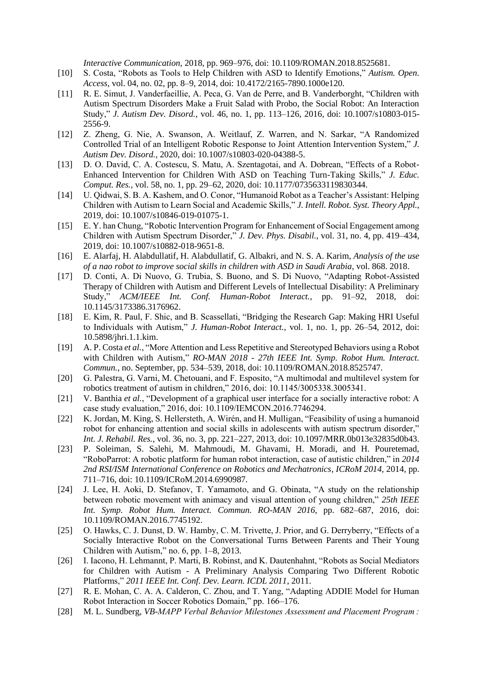*Interactive Communication*, 2018, pp. 969–976, doi: 10.1109/ROMAN.2018.8525681.

- [10] S. Costa, "Robots as Tools to Help Children with ASD to Identify Emotions," *Autism. Open. Access*, vol. 04, no. 02, pp. 8–9, 2014, doi: 10.4172/2165-7890.1000e120.
- [11] R. E. Simut, J. Vanderfaeillie, A. Peca, G. Van de Perre, and B. Vanderborght, "Children with Autism Spectrum Disorders Make a Fruit Salad with Probo, the Social Robot: An Interaction Study," *J. Autism Dev. Disord.*, vol. 46, no. 1, pp. 113–126, 2016, doi: 10.1007/s10803-015- 2556-9.
- [12] Z. Zheng, G. Nie, A. Swanson, A. Weitlauf, Z. Warren, and N. Sarkar, "A Randomized Controlled Trial of an Intelligent Robotic Response to Joint Attention Intervention System," *J. Autism Dev. Disord.*, 2020, doi: 10.1007/s10803-020-04388-5.
- [13] D. O. David, C. A. Costescu, S. Matu, A. Szentagotai, and A. Dobrean, "Effects of a Robot-Enhanced Intervention for Children With ASD on Teaching Turn-Taking Skills," *J. Educ. Comput. Res.*, vol. 58, no. 1, pp. 29–62, 2020, doi: 10.1177/0735633119830344.
- [14] U. Qidwai, S. B. A. Kashem, and O. Conor, "Humanoid Robot as a Teacher's Assistant: Helping Children with Autism to Learn Social and Academic Skills," *J. Intell. Robot. Syst. Theory Appl.*, 2019, doi: 10.1007/s10846-019-01075-1.
- [15] E. Y. han Chung, "Robotic Intervention Program for Enhancement of Social Engagement among Children with Autism Spectrum Disorder," *J. Dev. Phys. Disabil.*, vol. 31, no. 4, pp. 419–434, 2019, doi: 10.1007/s10882-018-9651-8.
- [16] E. Alarfaj, H. Alabdullatif, H. Alabdullatif, G. Albakri, and N. S. A. Karim, *Analysis of the use of a nao robot to improve social skills in children with ASD in Saudi Arabia*, vol. 868. 2018.
- [17] D. Conti, A. Di Nuovo, G. Trubia, S. Buono, and S. Di Nuovo, "Adapting Robot-Assisted Therapy of Children with Autism and Different Levels of Intellectual Disability: A Preliminary Study," *ACM/IEEE Int. Conf. Human-Robot Interact.*, pp. 91–92, 2018, doi: 10.1145/3173386.3176962.
- [18] E. Kim, R. Paul, F. Shic, and B. Scassellati, "Bridging the Research Gap: Making HRI Useful to Individuals with Autism," *J. Human-Robot Interact.*, vol. 1, no. 1, pp. 26–54, 2012, doi: 10.5898/jhri.1.1.kim.
- [19] A. P. Costa *et al.*, "More Attention and Less Repetitive and Stereotyped Behaviors using a Robot with Children with Autism," *RO-MAN 2018 - 27th IEEE Int. Symp. Robot Hum. Interact. Commun.*, no. September, pp. 534–539, 2018, doi: 10.1109/ROMAN.2018.8525747.
- [20] G. Palestra, G. Varni, M. Chetouani, and F. Esposito, "A multimodal and multilevel system for robotics treatment of autism in children," 2016, doi: 10.1145/3005338.3005341.
- [21] V. Banthia *et al.*, "Development of a graphical user interface for a socially interactive robot: A case study evaluation," 2016, doi: 10.1109/IEMCON.2016.7746294.
- [22] K. Jordan, M. King, S. Hellersteth, A. Wirén, and H. Mulligan, "Feasibility of using a humanoid robot for enhancing attention and social skills in adolescents with autism spectrum disorder," *Int. J. Rehabil. Res.*, vol. 36, no. 3, pp. 221–227, 2013, doi: 10.1097/MRR.0b013e32835d0b43.
- [23] P. Soleiman, S. Salehi, M. Mahmoudi, M. Ghavami, H. Moradi, and H. Pouretemad, "RoboParrot: A robotic platform for human robot interaction, case of autistic children," in *2014 2nd RSI/ISM International Conference on Robotics and Mechatronics, ICRoM 2014*, 2014, pp. 711–716, doi: 10.1109/ICRoM.2014.6990987.
- [24] J. Lee, H. Aoki, D. Stefanov, T. Yamamoto, and G. Obinata, "A study on the relationship between robotic movement with animacy and visual attention of young children," *25th IEEE Int. Symp. Robot Hum. Interact. Commun. RO-MAN 2016*, pp. 682–687, 2016, doi: 10.1109/ROMAN.2016.7745192.
- [25] O. Hawks, C. J. Dunst, D. W. Hamby, C. M. Trivette, J. Prior, and G. Derryberry, "Effects of a Socially Interactive Robot on the Conversational Turns Between Parents and Their Young Children with Autism," no. 6, pp. 1–8, 2013.
- [26] I. Iacono, H. Lehmannt, P. Marti, B. Robinst, and K. Dautenhahnt, "Robots as Social Mediators for Children with Autism - A Preliminary Analysis Comparing Two Different Robotic Platforms," *2011 IEEE Int. Conf. Dev. Learn. ICDL 2011*, 2011.
- [27] R. E. Mohan, C. A. A. Calderon, C. Zhou, and T. Yang, "Adapting ADDIE Model for Human Robot Interaction in Soccer Robotics Domain," pp. 166–176.
- [28] M. L. Sundberg, *VB-MAPP Verbal Behavior Milestones Assessment and Placement Program :*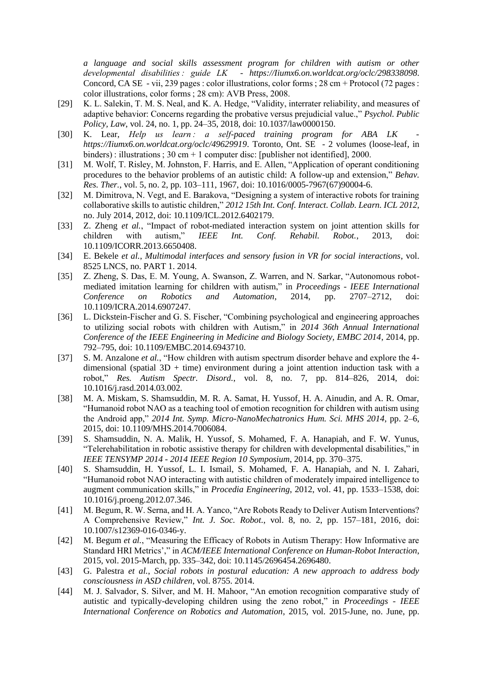*a language and social skills assessment program for children with autism or other developmental disabilities : guide LK - https://Iiumx6.on.worldcat.org/oclc/298338098*. Concord, CA SE - vii, 239 pages : color illustrations, color forms ; 28 cm + Protocol (72 pages : color illustrations, color forms ; 28 cm): AVB Press, 2008.

- [29] K. L. Salekin, T. M. S. Neal, and K. A. Hedge, "Validity, interrater reliability, and measures of adaptive behavior: Concerns regarding the probative versus prejudicial value.," *Psychol. Public Policy, Law*, vol. 24, no. 1, pp. 24–35, 2018, doi: 10.1037/law0000150.
- [30] K. Lear, *Help us learn*: a self-paced training program for ABA LK *https://Iiumx6.on.worldcat.org/oclc/49629919*. Toronto, Ont. SE - 2 volumes (loose-leaf, in binders) : illustrations ; 30 cm + 1 computer disc: [publisher not identified], 2000.
- [31] M. Wolf, T. Risley, M. Johnston, F. Harris, and E. Allen, "Application of operant conditioning procedures to the behavior problems of an autistic child: A follow-up and extension," *Behav. Res. Ther.*, vol. 5, no. 2, pp. 103–111, 1967, doi: 10.1016/0005-7967(67)90004-6.
- [32] M. Dimitrova, N. Vegt, and E. Barakova, "Designing a system of interactive robots for training collaborative skills to autistic children," *2012 15th Int. Conf. Interact. Collab. Learn. ICL 2012*, no. July 2014, 2012, doi: 10.1109/ICL.2012.6402179.
- [33] Z. Zheng *et al.*, "Impact of robot-mediated interaction system on joint attention skills for children with autism," *IEEE Int. Conf. Rehabil. Robot.*, 2013, doi: 10.1109/ICORR.2013.6650408.
- [34] E. Bekele *et al.*, *Multimodal interfaces and sensory fusion in VR for social interactions*, vol. 8525 LNCS, no. PART 1. 2014.
- [35] Z. Zheng, S. Das, E. M. Young, A. Swanson, Z. Warren, and N. Sarkar, "Autonomous robotmediated imitation learning for children with autism," in *Proceedings - IEEE International Conference on Robotics and Automation*, 2014, pp. 2707–2712, doi: 10.1109/ICRA.2014.6907247.
- [36] L. Dickstein-Fischer and G. S. Fischer, "Combining psychological and engineering approaches to utilizing social robots with children with Autism," in *2014 36th Annual International Conference of the IEEE Engineering in Medicine and Biology Society, EMBC 2014*, 2014, pp. 792–795, doi: 10.1109/EMBC.2014.6943710.
- [37] S. M. Anzalone *et al.*, "How children with autism spectrum disorder behave and explore the 4 dimensional (spatial  $3D + time$ ) environment during a joint attention induction task with a robot," *Res. Autism Spectr. Disord.*, vol. 8, no. 7, pp. 814–826, 2014, doi: 10.1016/j.rasd.2014.03.002.
- [38] M. A. Miskam, S. Shamsuddin, M. R. A. Samat, H. Yussof, H. A. Ainudin, and A. R. Omar, "Humanoid robot NAO as a teaching tool of emotion recognition for children with autism using the Android app," *2014 Int. Symp. Micro-NanoMechatronics Hum. Sci. MHS 2014*, pp. 2–6, 2015, doi: 10.1109/MHS.2014.7006084.
- [39] S. Shamsuddin, N. A. Malik, H. Yussof, S. Mohamed, F. A. Hanapiah, and F. W. Yunus, "Telerehabilitation in robotic assistive therapy for children with developmental disabilities," in *IEEE TENSYMP 2014 - 2014 IEEE Region 10 Symposium*, 2014, pp. 370–375.
- [40] S. Shamsuddin, H. Yussof, L. I. Ismail, S. Mohamed, F. A. Hanapiah, and N. I. Zahari, "Humanoid robot NAO interacting with autistic children of moderately impaired intelligence to augment communication skills," in *Procedia Engineering*, 2012, vol. 41, pp. 1533–1538, doi: 10.1016/j.proeng.2012.07.346.
- [41] M. Begum, R. W. Serna, and H. A. Yanco, "Are Robots Ready to Deliver Autism Interventions? A Comprehensive Review," *Int. J. Soc. Robot.*, vol. 8, no. 2, pp. 157–181, 2016, doi: 10.1007/s12369-016-0346-y.
- [42] M. Begum *et al.*, "Measuring the Efficacy of Robots in Autism Therapy: How Informative are Standard HRI Metrics'," in *ACM/IEEE International Conference on Human-Robot Interaction*, 2015, vol. 2015-March, pp. 335–342, doi: 10.1145/2696454.2696480.
- [43] G. Palestra *et al.*, *Social robots in postural education: A new approach to address body consciousness in ASD children*, vol. 8755. 2014.
- [44] M. J. Salvador, S. Silver, and M. H. Mahoor, "An emotion recognition comparative study of autistic and typically-developing children using the zeno robot," in *Proceedings - IEEE International Conference on Robotics and Automation*, 2015, vol. 2015-June, no. June, pp.